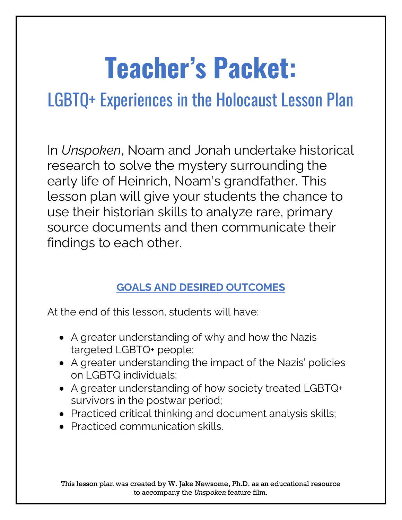# **Teacher's Packet:**

# LGBTQ+ Experiences in the Holocaust Lesson Plan

In *Unspoken*, Noam and Jonah undertake historical research to solve the mystery surrounding the early life of Heinrich, Noam's grandfather. This lesson plan will give your students the chance to use their historian skills to analyze rare, primary source documents and then communicate their findings to each other.

# **GOALS AND DESIRED OUTCOMES**

At the end of this lesson, students will have:

- A greater understanding of why and how the Nazis targeted LGBTQ+ people;
- A greater understanding the impact of the Nazis' policies on LGBTQ individuals;
- A greater understanding of how society treated LGBTQ+ survivors in the postwar period;
- Practiced critical thinking and document analysis skills;
- Practiced communication skills.

This lesson plan was created by W. Jake Newsome, Ph.D. as an educational resource to accompany the *Unspoken* feature film.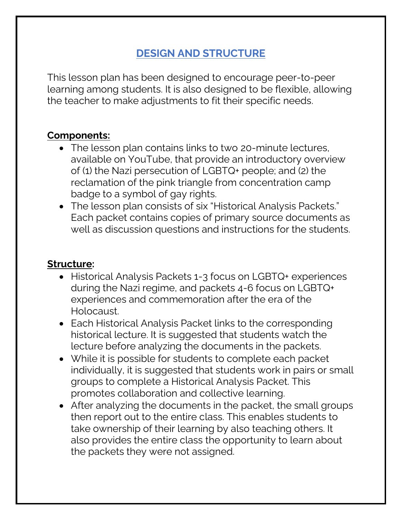## **DESIGN AND STRUCTURE**

This lesson plan has been designed to encourage peer-to-peer learning among students. It is also designed to be flexible, allowing the teacher to make adjustments to fit their specific needs.

#### **Components:**

- The lesson plan contains links to two 20-minute lectures, available on YouTube, that provide an introductory overview of (1) the Nazi persecution of LGBTQ+ people; and (2) the reclamation of the pink triangle from concentration camp badge to a symbol of gay rights.
- The lesson plan consists of six "Historical Analysis Packets." Each packet contains copies of primary source documents as well as discussion questions and instructions for the students.

#### **Structure:**

- Historical Analysis Packets 1-3 focus on LGBTQ+ experiences during the Nazi regime, and packets 4-6 focus on LGBTQ+ experiences and commemoration after the era of the Holocaust.
- Each Historical Analysis Packet links to the corresponding historical lecture. It is suggested that students watch the lecture before analyzing the documents in the packets.
- While it is possible for students to complete each packet individually, it is suggested that students work in pairs or small groups to complete a Historical Analysis Packet. This promotes collaboration and collective learning.
- After analyzing the documents in the packet, the small groups then report out to the entire class. This enables students to take ownership of their learning by also teaching others. It also provides the entire class the opportunity to learn about the packets they were not assigned.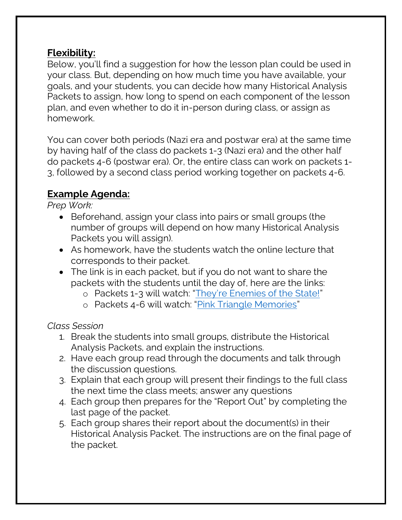#### **Flexibility:**

Below, you'll find a suggestion for how the lesson plan could be used in your class. But, depending on how much time you have available, your goals, and your students, you can decide how many Historical Analysis Packets to assign, how long to spend on each component of the lesson plan, and even whether to do it in-person during class, or assign as homework.

You can cover both periods (Nazi era and postwar era) at the same time by having half of the class do packets 1-3 (Nazi era) and the other half do packets 4-6 (postwar era). Or, the entire class can work on packets 1- 3, followed by a second class period working together on packets 4-6.

#### **Example Agenda:**

*Prep Work:* 

- Beforehand, assign your class into pairs or small groups (the number of groups will depend on how many Historical Analysis Packets you will assign).
- As homework, have the students watch the online lecture that corresponds to their packet.
- The link is in each packet, but if you do not want to share the packets with the students until the day of, here are the links:
	- o Packets 1-3 will watch: ["They're Enemies of the State!"](https://youtu.be/D4k5SIxeotc)
	- o Packets 4-6 will watch: "[Pink Triangle Memories](https://youtu.be/GX6Wj1ozQB8)"

#### *Class Session*

- 1. Break the students into small groups, distribute the Historical Analysis Packets, and explain the instructions.
- 2. Have each group read through the documents and talk through the discussion questions.
- 3. Explain that each group will present their findings to the full class the next time the class meets; answer any questions
- 4. Each group then prepares for the "Report Out" by completing the last page of the packet.
- 5. Each group shares their report about the document(s) in their Historical Analysis Packet. The instructions are on the final page of the packet.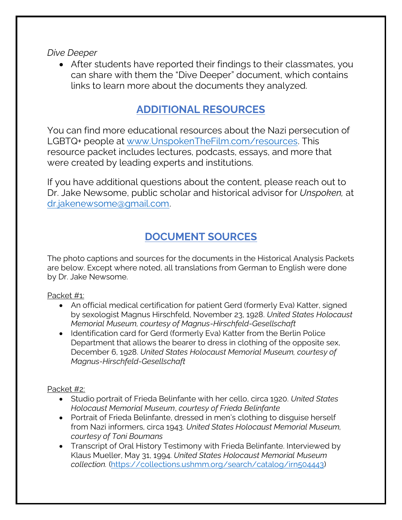*Dive Deeper*

• After students have reported their findings to their classmates, you can share with them the "Dive Deeper" document, which contains links to learn more about the documents they analyzed.

#### **ADDITIONAL RESOURCES**

You can find more educational resources about the Nazi persecution of LGBTQ+ people at [www.UnspokenTheFilm.com/resources.](http://www.unspokenthefilm.com/resources) This resource packet includes lectures, podcasts, essays, and more that were created by leading experts and institutions.

If you have additional questions about the content, please reach out to Dr. Jake Newsome, public scholar and historical advisor for *Unspoken,* at [dr.jakenewsome@gmail.com.](mailto:dr.jakenewsome@gmail.com)

## **DOCUMENT SOURCES**

The photo captions and sources for the documents in the Historical Analysis Packets are below. Except where noted, all translations from German to English were done by Dr. Jake Newsome.

Packet #1:

- An official medical certification for patient Gerd (formerly Eva) Katter, signed by sexologist Magnus Hirschfeld, November 23, 1928. *United States Holocaust Memorial Museum, courtesy of Magnus-Hirschfeld-Gesellschaft*
- Identification card for Gerd (formerly Eva) Katter from the Berlin Police Department that allows the bearer to dress in clothing of the opposite sex, December 6, 1928. *United States Holocaust Memorial Museum, courtesy of Magnus-Hirschfeld-Gesellschaft*

Packet #2:

- Studio portrait of Frieda Belinfante with her cello, circa 1920. *United States Holocaust Memorial Museum*, *courtesy of Frieda Belinfante*
- Portrait of Frieda Belinfante, dressed in men's clothing to disguise herself from Nazi informers, circa 1943. *United States Holocaust Memorial Museum, courtesy of Toni Boumans*
- Transcript of Oral History Testimony with Frieda Belinfante. Interviewed by Klaus Mueller, May 31, 1994. *United States Holocaust Memorial Museum collection.* [\(https://collections.ushmm.org/search/catalog/irn504443\)](https://collections.ushmm.org/search/catalog/irn504443)